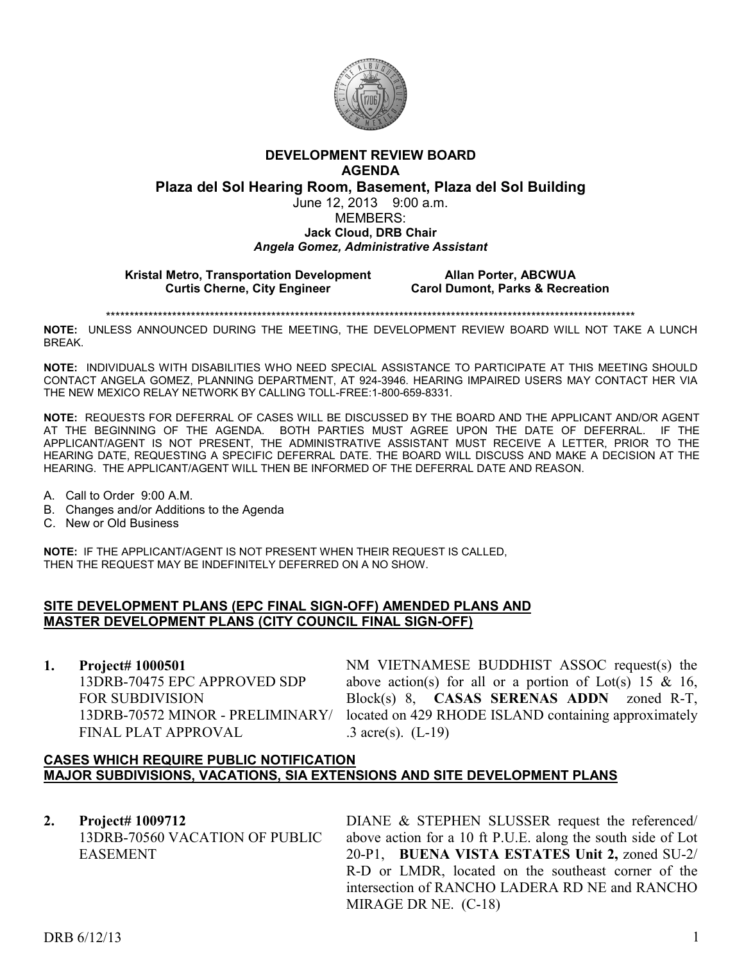

# **DEVELOPMENT REVIEW BOARD AGENDA**

**Plaza del Sol Hearing Room, Basement, Plaza del Sol Building**

### June 12, 2013 9:00 a.m. MEMBERS: **Jack Cloud, DRB Chair**

#### *Angela Gomez, Administrative Assistant*

**Kristal Metro, Transportation Development Allan Porter, ABCWUA Curtis Cherne, City Engineer Carol Dumont, Parks & Recreation** 

\*\*\*\*\*\*\*\*\*\*\*\*\*\*\*\*\*\*\*\*\*\*\*\*\*\*\*\*\*\*\*\*\*\*\*\*\*\*\*\*\*\*\*\*\*\*\*\*\*\*\*\*\*\*\*\*\*\*\*\*\*\*\*\*\*\*\*\*\*\*\*\*\*\*\*\*\*\*\*\*\*\*\*\*\*\*\*\*\*\*\*\*\*\*\*\*\*\*\*\*\*\*\*\*\*\*\*\*\*\*\*\*

**NOTE:** UNLESS ANNOUNCED DURING THE MEETING, THE DEVELOPMENT REVIEW BOARD WILL NOT TAKE A LUNCH BREAK.

**NOTE:** INDIVIDUALS WITH DISABILITIES WHO NEED SPECIAL ASSISTANCE TO PARTICIPATE AT THIS MEETING SHOULD CONTACT ANGELA GOMEZ, PLANNING DEPARTMENT, AT 924-3946. HEARING IMPAIRED USERS MAY CONTACT HER VIA THE NEW MEXICO RELAY NETWORK BY CALLING TOLL-FREE:1-800-659-8331.

**NOTE:** REQUESTS FOR DEFERRAL OF CASES WILL BE DISCUSSED BY THE BOARD AND THE APPLICANT AND/OR AGENT AT THE BEGINNING OF THE AGENDA. BOTH PARTIES MUST AGREE UPON THE DATE OF DEFERRAL. IF THE APPLICANT/AGENT IS NOT PRESENT, THE ADMINISTRATIVE ASSISTANT MUST RECEIVE A LETTER, PRIOR TO THE HEARING DATE, REQUESTING A SPECIFIC DEFERRAL DATE. THE BOARD WILL DISCUSS AND MAKE A DECISION AT THE HEARING. THE APPLICANT/AGENT WILL THEN BE INFORMED OF THE DEFERRAL DATE AND REASON.

A. Call to Order 9:00 A.M.

- B. Changes and/or Additions to the Agenda
- C. New or Old Business

**NOTE:** IF THE APPLICANT/AGENT IS NOT PRESENT WHEN THEIR REQUEST IS CALLED, THEN THE REQUEST MAY BE INDEFINITELY DEFERRED ON A NO SHOW.

## **SITE DEVELOPMENT PLANS (EPC FINAL SIGN-OFF) AMENDED PLANS AND MASTER DEVELOPMENT PLANS (CITY COUNCIL FINAL SIGN-OFF)**

**1. Project# 1000501**

13DRB-70475 EPC APPROVED SDP FOR SUBDIVISION 13DRB-70572 MINOR - PRELIMINARY/ FINAL PLAT APPROVAL

NM VIETNAMESE BUDDHIST ASSOC request(s) the above action(s) for all or a portion of Lot(s) 15 & 16, Block(s) 8, **CASAS SERENAS ADDN** zoned R-T, located on 429 RHODE ISLAND containing approximately .3 acre(s). (L-19)

## **CASES WHICH REQUIRE PUBLIC NOTIFICATION MAJOR SUBDIVISIONS, VACATIONS, SIA EXTENSIONS AND SITE DEVELOPMENT PLANS**

**2. Project# 1009712** 13DRB-70560 VACATION OF PUBLIC EASEMENT

DIANE & STEPHEN SLUSSER request the referenced/ above action for a 10 ft P.U.E. along the south side of Lot 20-P1, **BUENA VISTA ESTATES Unit 2,** zoned SU-2/ R-D or LMDR, located on the southeast corner of the intersection of RANCHO LADERA RD NE and RANCHO MIRAGE DR NE. (C-18)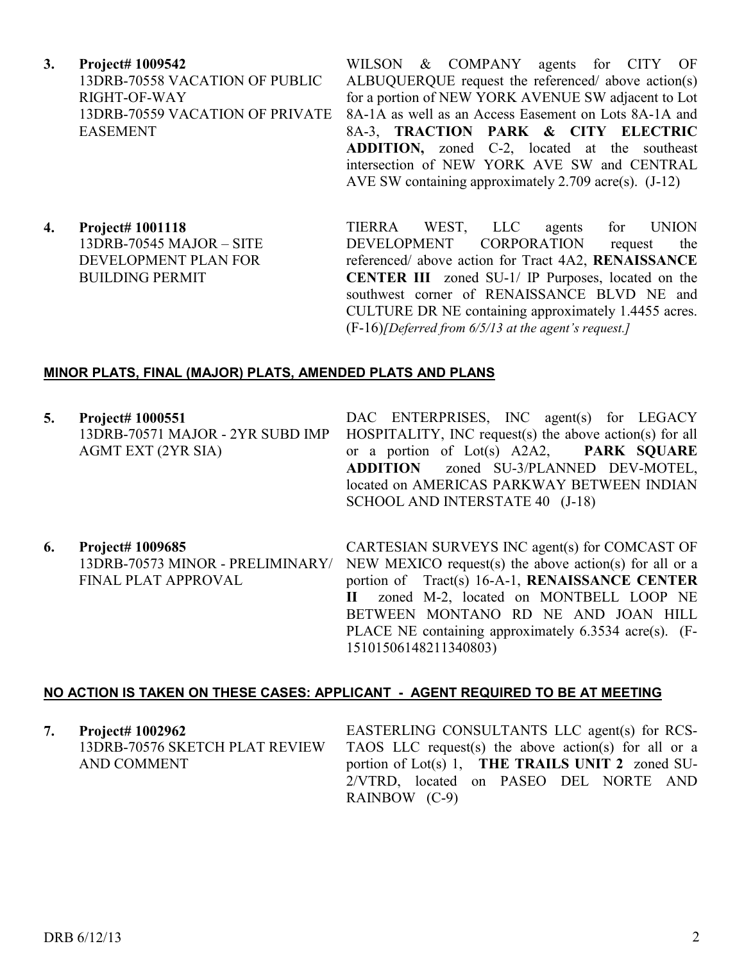**3. Project# 1009542** 13DRB-70558 VACATION OF PUBLIC RIGHT-OF-WAY 13DRB-70559 VACATION OF PRIVATE EASEMENT

WILSON & COMPANY agents for CITY OF ALBUQUERQUE request the referenced/ above action(s) for a portion of NEW YORK AVENUE SW adjacent to Lot 8A-1A as well as an Access Easement on Lots 8A-1A and 8A-3, **TRACTION PARK & CITY ELECTRIC ADDITION,** zoned C-2, located at the southeast intersection of NEW YORK AVE SW and CENTRAL AVE SW containing approximately 2.709 acre(s). (J-12)

**4. Project# 1001118** 13DRB-70545 MAJOR – SITE DEVELOPMENT PLAN FOR BUILDING PERMIT

TIERRA WEST, LLC agents for UNION DEVELOPMENT CORPORATION request the referenced/ above action for Tract 4A2, **RENAISSANCE CENTER III** zoned SU-1/ IP Purposes, located on the southwest corner of RENAISSANCE BLVD NE and CULTURE DR NE containing approximately 1.4455 acres. (F-16)*[Deferred from 6/5/13 at the agent's request.]* 

### **MINOR PLATS, FINAL (MAJOR) PLATS, AMENDED PLATS AND PLANS**

**5. Project# 1000551** 13DRB-70571 MAJOR - 2YR SUBD IMP AGMT EXT (2YR SIA)

DAC ENTERPRISES, INC agent(s) for LEGACY HOSPITALITY, INC request(s) the above action(s) for all or a portion of Lot(s) A2A2, **PARK SQUARE ADDITION** zoned SU-3/PLANNED DEV-MOTEL, located on AMERICAS PARKWAY BETWEEN INDIAN SCHOOL AND INTERSTATE 40 (J-18)

**6. Project# 1009685** 13DRB-70573 MINOR - PRELIMINARY/ FINAL PLAT APPROVAL CARTESIAN SURVEYS INC agent(s) for COMCAST OF NEW MEXICO request(s) the above action(s) for all or a portion of Tract(s) 16-A-1, **RENAISSANCE CENTER II** zoned M-2, located on MONTBELL LOOP NE BETWEEN MONTANO RD NE AND JOAN HILL PLACE NE containing approximately 6.3534 acre(s). (F-15101506148211340803)

#### **NO ACTION IS TAKEN ON THESE CASES: APPLICANT - AGENT REQUIRED TO BE AT MEETING**

| 7. | Project# 1002962               | EASTERLING CONSULTANTS LLC agent(s) for RCS-         |
|----|--------------------------------|------------------------------------------------------|
|    | 13DRB-70576 SKETCH PLAT REVIEW | TAOS LLC request(s) the above action(s) for all or a |
|    | AND COMMENT                    | portion of Lot(s) 1, THE TRAILS UNIT 2 zoned SU-     |
|    |                                | 2/VTRD, located on PASEO DEL NORTE AND               |
|    |                                | RAINBOW (C-9)                                        |